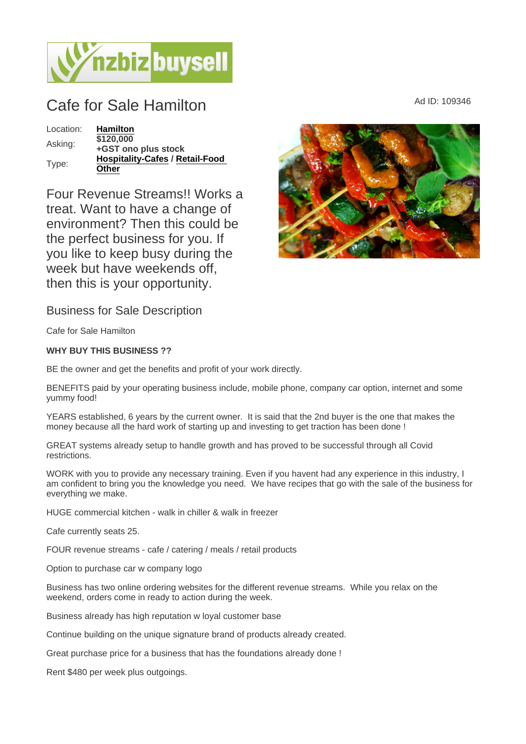## $\text{Cafe for Sale Hamilton} \qquad \qquad \text{Ad ID: } 109346$

Location: [Hamilton](https://www.nzbizbuysell.co.nz/businesses-for-sale/location/Hamilton) Asking: \$120,000 +GST ono plus stock Type: [Hospitality-Cafes](https://www.nzbizbuysell.co.nz/businesses-for-sale/Cafes/New-Zealand) / Retail-Food **[Other](https://www.nzbizbuysell.co.nz/businesses-for-sale/Retail-Food--Beverage/New-Zealand)** 

Four Revenue Streams!! Works a treat. Want to have a change of environment? Then this could be the perfect business for you. If you like to keep busy during the week but have weekends off, then this is your opportunity.

Business for Sale Description

Cafe for Sale Hamilton

WHY BUY THIS BUSINESS ??

BE the owner and get the benefits and profit of your work directly.

BENEFITS paid by your operating business include, mobile phone, company car option, internet and some yummy food!

YEARS established, 6 years by the current owner. It is said that the 2nd buyer is the one that makes the money because all the hard work of starting up and investing to get traction has been done !

GREAT systems already setup to handle growth and has proved to be successful through all Covid restrictions.

WORK with you to provide any necessary training. Even if you havent had any experience in this industry, I am confident to bring you the knowledge you need. We have recipes that go with the sale of the business for everything we make.

HUGE commercial kitchen - walk in chiller & walk in freezer

Cafe currently seats 25.

FOUR revenue streams - cafe / catering / meals / retail products

Option to purchase car w company logo

Business has two online ordering websites for the different revenue streams. While you relax on the weekend, orders come in ready to action during the week.

Business already has high reputation w loyal customer base

Continue building on the unique signature brand of products already created.

Great purchase price for a business that has the foundations already done !

Rent \$480 per week plus outgoings.